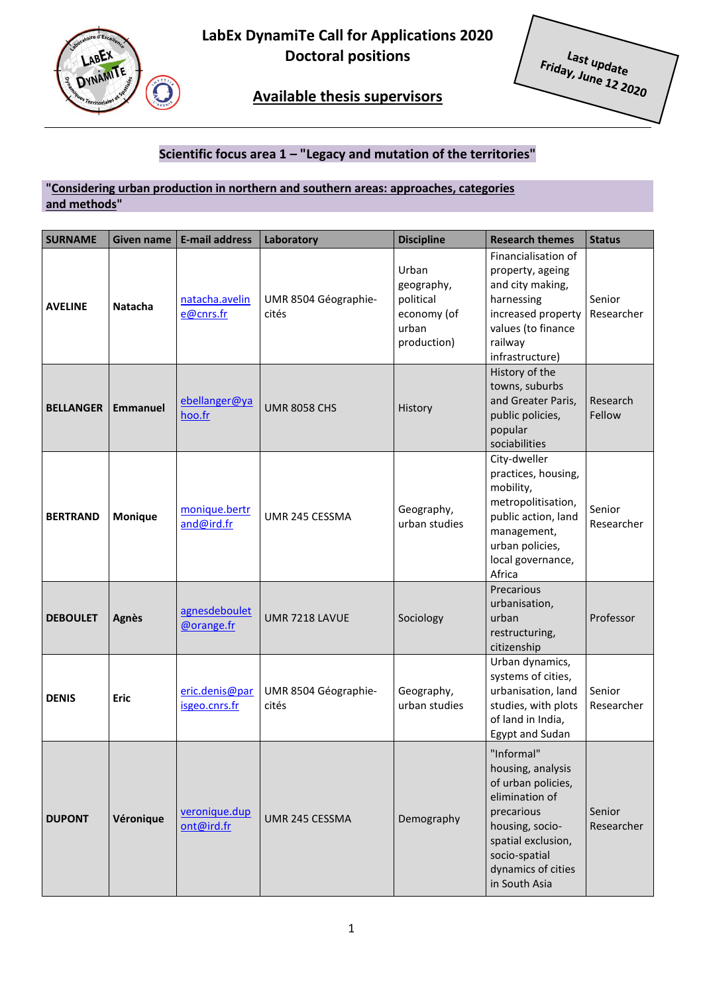

**LabEx DynamiTe Call for Applications 2020 Doctoral positions**

L<sub>ast update</sub><br>ay, June 12 Eriday, June 12 2020

## **Available thesis supervisors**

### **Scientific focus area 1 – "Legacy and mutation of the territories"**

#### **"Considering urban production in northern and southern areas: approaches, categories and methods"**

| <b>SURNAME</b>   | <b>Given name</b> | <b>E-mail address</b>           | Laboratory                    | <b>Discipline</b>                                                       | <b>Research themes</b>                                                                                                                                                                 | <b>Status</b>        |
|------------------|-------------------|---------------------------------|-------------------------------|-------------------------------------------------------------------------|----------------------------------------------------------------------------------------------------------------------------------------------------------------------------------------|----------------------|
| <b>AVELINE</b>   | <b>Natacha</b>    | natacha.avelin<br>e@cnrs.fr     | UMR 8504 Géographie-<br>cités | Urban<br>geography,<br>political<br>economy (of<br>urban<br>production) | Financialisation of<br>property, ageing<br>and city making,<br>harnessing<br>increased property<br>values (to finance<br>railway<br>infrastructure)                                    | Senior<br>Researcher |
| <b>BELLANGER</b> | <b>Emmanuel</b>   | ebellanger@ya<br>hoo.fr         | <b>UMR 8058 CHS</b>           | History                                                                 | History of the<br>towns, suburbs<br>and Greater Paris,<br>public policies,<br>popular<br>sociabilities                                                                                 | Research<br>Fellow   |
| <b>BERTRAND</b>  | Monique           | monique.bertr<br>and@ird.fr     | UMR 245 CESSMA                | Geography,<br>urban studies                                             | City-dweller<br>practices, housing,<br>mobility,<br>metropolitisation,<br>public action, land<br>management,<br>urban policies,<br>local governance,<br>Africa                         | Senior<br>Researcher |
| <b>DEBOULET</b>  | <b>Agnès</b>      | agnesdeboulet<br>@orange.fr     | UMR 7218 LAVUE                | Sociology                                                               | Precarious<br>urbanisation,<br>urban<br>restructuring,<br>citizenship                                                                                                                  | Professor            |
| <b>DENIS</b>     | Eric              | eric.denis@par<br>isgeo.cnrs.fr | UMR 8504 Géographie-<br>cités | Geography,<br>urban studies                                             | Urban dynamics,<br>systems of cities,<br>urbanisation, land<br>studies, with plots<br>of land in India,<br><b>Egypt and Sudan</b>                                                      | Senior<br>Researcher |
| <b>DUPONT</b>    | Véronique         | veronique.dup<br>ont@ird.fr     | UMR 245 CESSMA                | Demography                                                              | "Informal"<br>housing, analysis<br>of urban policies,<br>elimination of<br>precarious<br>housing, socio-<br>spatial exclusion,<br>socio-spatial<br>dynamics of cities<br>in South Asia | Senior<br>Researcher |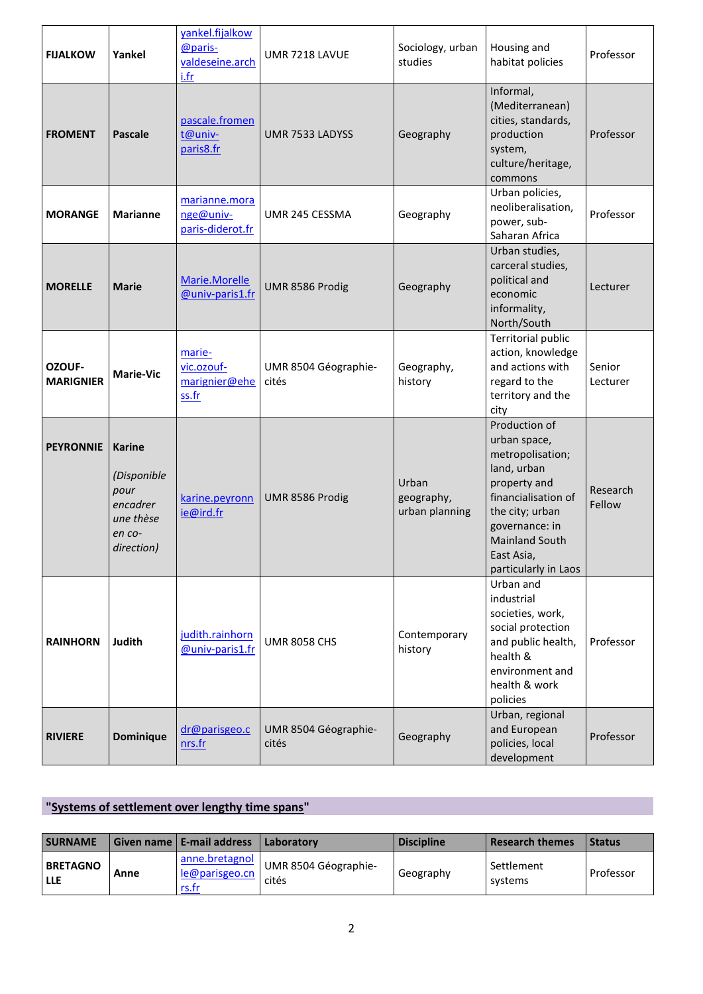| <b>FIJALKOW</b>            | Yankel                                                                                | vankel.fijalkow<br>@paris-<br>valdeseine.arch<br>i.fr | UMR 7218 LAVUE                | Sociology, urban<br>studies           | Housing and<br>habitat policies                                                                                                                                                                             | Professor          |
|----------------------------|---------------------------------------------------------------------------------------|-------------------------------------------------------|-------------------------------|---------------------------------------|-------------------------------------------------------------------------------------------------------------------------------------------------------------------------------------------------------------|--------------------|
| <b>FROMENT</b>             | <b>Pascale</b>                                                                        | pascale.fromen<br>t@univ-<br>paris8.fr                | UMR 7533 LADYSS               | Geography                             | Informal,<br>(Mediterranean)<br>cities, standards,<br>production<br>system,<br>culture/heritage,<br>commons                                                                                                 | Professor          |
| <b>MORANGE</b>             | <b>Marianne</b>                                                                       | marianne.mora<br>nge@univ-<br>paris-diderot.fr        | UMR 245 CESSMA                | Geography                             | Urban policies,<br>neoliberalisation,<br>power, sub-<br>Saharan Africa                                                                                                                                      | Professor          |
| <b>MORELLE</b>             | <b>Marie</b>                                                                          | Marie.Morelle<br>@univ-paris1.fr                      | UMR 8586 Prodig               | Geography                             | Urban studies,<br>carceral studies,<br>political and<br>economic<br>informality,<br>North/South                                                                                                             | Lecturer           |
| OZOUF-<br><b>MARIGNIER</b> | <b>Marie-Vic</b>                                                                      | marie-<br>vic.ozouf-<br>marignier@ehe<br>ss.fr        | UMR 8504 Géographie-<br>cités | Geography,<br>history                 | Territorial public<br>action, knowledge<br>and actions with<br>regard to the<br>territory and the<br>city                                                                                                   | Senior<br>Lecturer |
| <b>PEYRONNIE</b>           | <b>Karine</b><br>(Disponible<br>pour<br>encadrer<br>une thèse<br>en co-<br>direction) | karine.peyronn<br>ie@ird.fr                           | UMR 8586 Prodig               | Urban<br>geography,<br>urban planning | Production of<br>urban space,<br>metropolisation;<br>land, urban<br>property and<br>financialisation of<br>the city; urban<br>governance: in<br><b>Mainland South</b><br>East Asia,<br>particularly in Laos | Research<br>Fellow |
| <b>RAINHORN</b>            | <b>Judith</b>                                                                         | judith.rainhorn<br>@univ-paris1.fr                    | <b>UMR 8058 CHS</b>           | Contemporary<br>history               | Urban and<br>industrial<br>societies, work,<br>social protection<br>and public health,<br>health &<br>environment and<br>health & work<br>policies                                                          | Professor          |
| <b>RIVIERE</b>             | <b>Dominique</b>                                                                      | dr@parisgeo.c<br>nrs.fr                               | UMR 8504 Géographie-<br>cités | Geography                             | Urban, regional<br>and European<br>policies, local<br>development                                                                                                                                           | Professor          |

# **"Systems of settlement over lengthy time spans"**

| <b>SURNAME</b>                |      | Given name   E-mail address                      | Laboratory                      | <b>Discipline</b> | <b>Research themes</b> | <b>Status</b> |
|-------------------------------|------|--------------------------------------------------|---------------------------------|-------------------|------------------------|---------------|
| <b>BRETAGNO</b><br><b>LLE</b> | Anne | anne.bretagnol<br>le@parisgeo.cn<br><u>rs.fr</u> | I UMR 8504 Géographie-<br>cités | Geography         | Settlement<br>systems  | Professor     |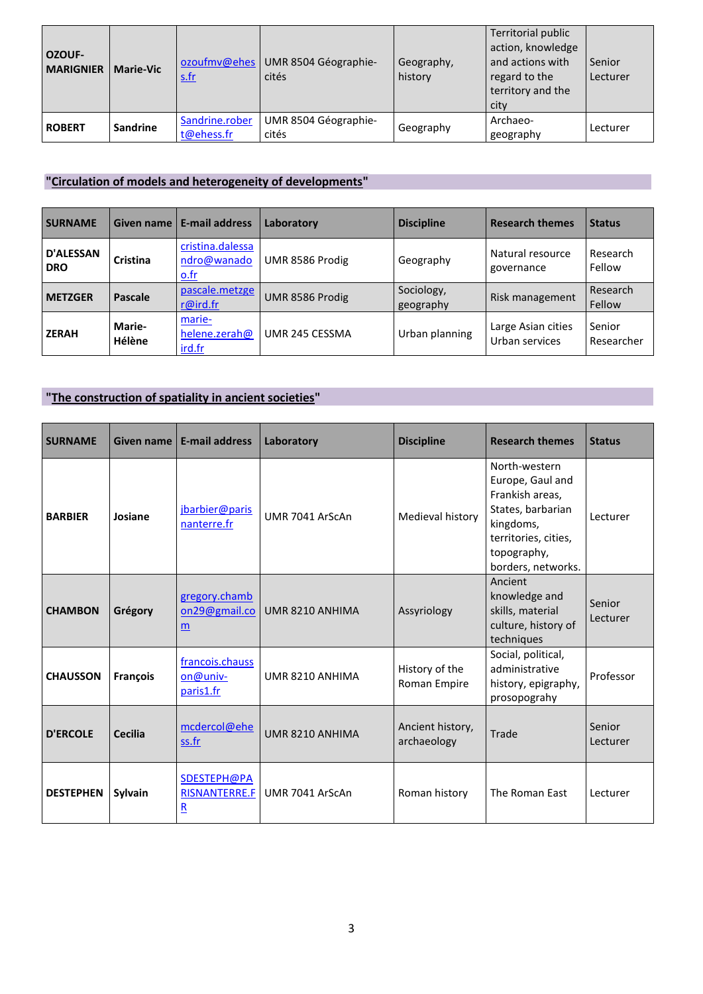| <b>OZOUF-</b><br><b>MARIGNIER</b> | <b>Marie-Vic</b> | ozoufmv@ehes<br><u>s.fr</u>  | UMR 8504 Géographie-<br>cités | Geography,<br>history | Territorial public<br>action, knowledge<br>and actions with<br>regard to the<br>territory and the<br>city | Senior<br>Lecturer |
|-----------------------------------|------------------|------------------------------|-------------------------------|-----------------------|-----------------------------------------------------------------------------------------------------------|--------------------|
| <b>ROBERT</b>                     | Sandrine         | Sandrine.rober<br>t@ehess.fr | UMR 8504 Géographie-<br>cités | Geography             | Archaeo-<br>geography                                                                                     | Lecturer           |

## **"Circulation of models and heterogeneity of developments"**

| <b>SURNAME</b>                 | <b>Given name</b>       | <b>E-mail address</b>                   | Laboratory      | <b>Discipline</b>       | <b>Research themes</b>               | <b>Status</b>        |
|--------------------------------|-------------------------|-----------------------------------------|-----------------|-------------------------|--------------------------------------|----------------------|
| <b>D'ALESSAN</b><br><b>DRO</b> | Cristina                | cristina.dalessa<br>ndro@wanado<br>Q.fr | UMR 8586 Prodig | Geography               | Natural resource<br>governance       | Research<br>Fellow   |
| <b>METZGER</b>                 | Pascale                 | pascale.metzge<br>r@ird.fr              | UMR 8586 Prodig | Sociology,<br>geography | Risk management                      | Research<br>Fellow   |
| <b>ZERAH</b>                   | Marie-<br><b>Hélène</b> | marie-<br>helene.zerah@<br>ird.fr       | UMR 245 CESSMA  | Urban planning          | Large Asian cities<br>Urban services | Senior<br>Researcher |

## **"The construction of spatiality in ancient societies"**

| <b>SURNAME</b>   | <b>Given name</b> | <b>E-mail address</b>                                          | Laboratory      | <b>Discipline</b>               | <b>Research themes</b>                                                                                                                              | <b>Status</b>      |
|------------------|-------------------|----------------------------------------------------------------|-----------------|---------------------------------|-----------------------------------------------------------------------------------------------------------------------------------------------------|--------------------|
| <b>BARBIER</b>   | Josiane           | jbarbier@paris<br>nanterre.fr                                  | UMR 7041 ArScAn | Medieval history                | North-western<br>Europe, Gaul and<br>Frankish areas,<br>States, barbarian<br>kingdoms,<br>territories, cities,<br>topography,<br>borders, networks. | Lecturer           |
| <b>CHAMBON</b>   | Grégory           | gregory.chamb<br>on29@gmail.co<br>m                            | UMR 8210 ANHIMA | Assyriology                     | Ancient<br>knowledge and<br>skills, material<br>culture, history of<br>techniques                                                                   | Senior<br>Lecturer |
| <b>CHAUSSON</b>  | <b>Francois</b>   | francois.chauss<br>on@univ-<br>paris1.fr                       | UMR 8210 ANHIMA | History of the<br>Roman Empire  | Social, political,<br>administrative<br>history, epigraphy,<br>prosopograhy                                                                         | Professor          |
| <b>D'ERCOLE</b>  | <b>Cecilia</b>    | mcdercol@ehe<br>ss.fr                                          | UMR 8210 ANHIMA | Ancient history,<br>archaeology | Trade                                                                                                                                               | Senior<br>Lecturer |
| <b>DESTEPHEN</b> | Sylvain           | SDESTEPH@PA<br><b>RISNANTERRE.F</b><br>$\overline{\mathbf{R}}$ | UMR 7041 ArScAn | Roman history                   | The Roman East                                                                                                                                      | Lecturer           |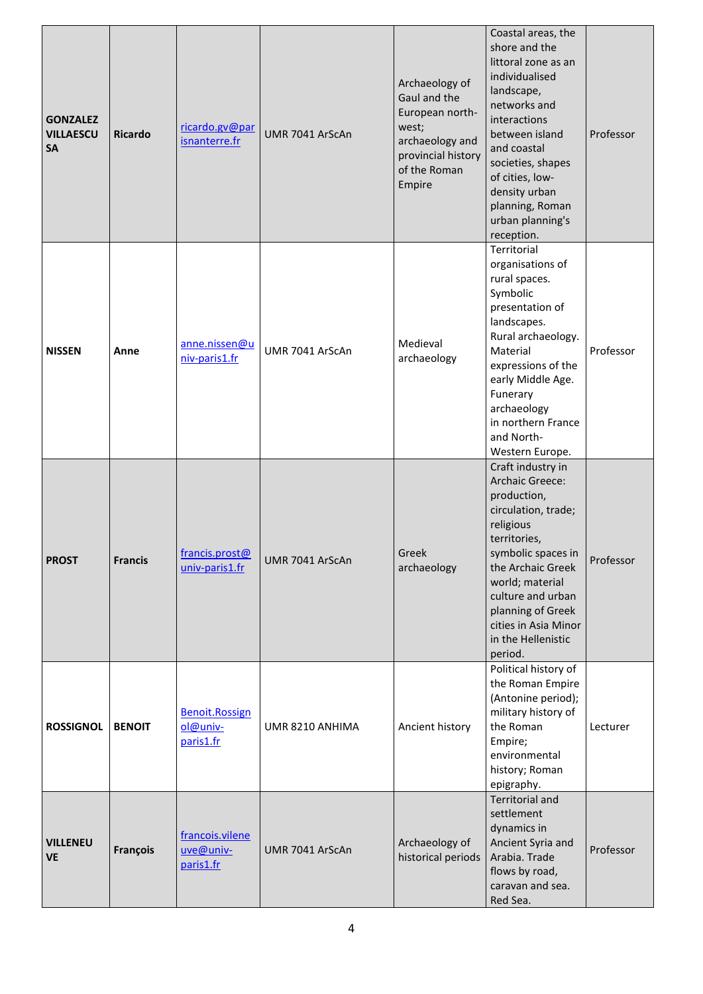| <b>GONZALEZ</b><br><b>VILLAESCU</b><br><b>SA</b> | <b>Ricardo</b> | ricardo.gv@par<br>isnanterre.fr                | UMR 7041 ArScAn | Archaeology of<br>Gaul and the<br>European north-<br>west;<br>archaeology and<br>provincial history<br>of the Roman<br>Empire | Coastal areas, the<br>shore and the<br>littoral zone as an<br>individualised<br>landscape,<br>networks and<br>interactions<br>between island<br>and coastal<br>societies, shapes<br>of cities, low-<br>density urban<br>planning, Roman<br>urban planning's<br>reception. | Professor |
|--------------------------------------------------|----------------|------------------------------------------------|-----------------|-------------------------------------------------------------------------------------------------------------------------------|---------------------------------------------------------------------------------------------------------------------------------------------------------------------------------------------------------------------------------------------------------------------------|-----------|
| <b>NISSEN</b>                                    | Anne           | anne.nissen@u<br>niv-paris1.fr                 | UMR 7041 ArScAn | Medieval<br>archaeology                                                                                                       | Territorial<br>organisations of<br>rural spaces.<br>Symbolic<br>presentation of<br>landscapes.<br>Rural archaeology.<br>Material<br>expressions of the<br>early Middle Age.<br>Funerary<br>archaeology<br>in northern France<br>and North-<br>Western Europe.             | Professor |
| <b>PROST</b>                                     | <b>Francis</b> | francis prost@<br>univ-paris1.fr               | UMR 7041 ArScAn | Greek<br>archaeology                                                                                                          | Craft industry in<br>Archaic Greece:<br>production,<br>circulation, trade;<br>religious<br>territories,<br>symbolic spaces in<br>the Archaic Greek<br>world; material<br>culture and urban<br>planning of Greek<br>cities in Asia Minor<br>in the Hellenistic<br>period.  | Professor |
| <b>ROSSIGNOL</b>                                 | <b>BENOIT</b>  | <b>Benoit.Rossign</b><br>ol@univ-<br>paris1.fr | UMR 8210 ANHIMA | Ancient history                                                                                                               | Political history of<br>the Roman Empire<br>(Antonine period);<br>military history of<br>the Roman<br>Empire;<br>environmental<br>history; Roman<br>epigraphy.                                                                                                            | Lecturer  |
| <b>VILLENEU</b><br><b>VE</b>                     | François       | francois.vilene<br>uve@univ-<br>paris1.fr      | UMR 7041 ArScAn | Archaeology of<br>historical periods                                                                                          | <b>Territorial and</b><br>settlement<br>dynamics in<br>Ancient Syria and<br>Arabia. Trade<br>flows by road,<br>caravan and sea.<br>Red Sea.                                                                                                                               | Professor |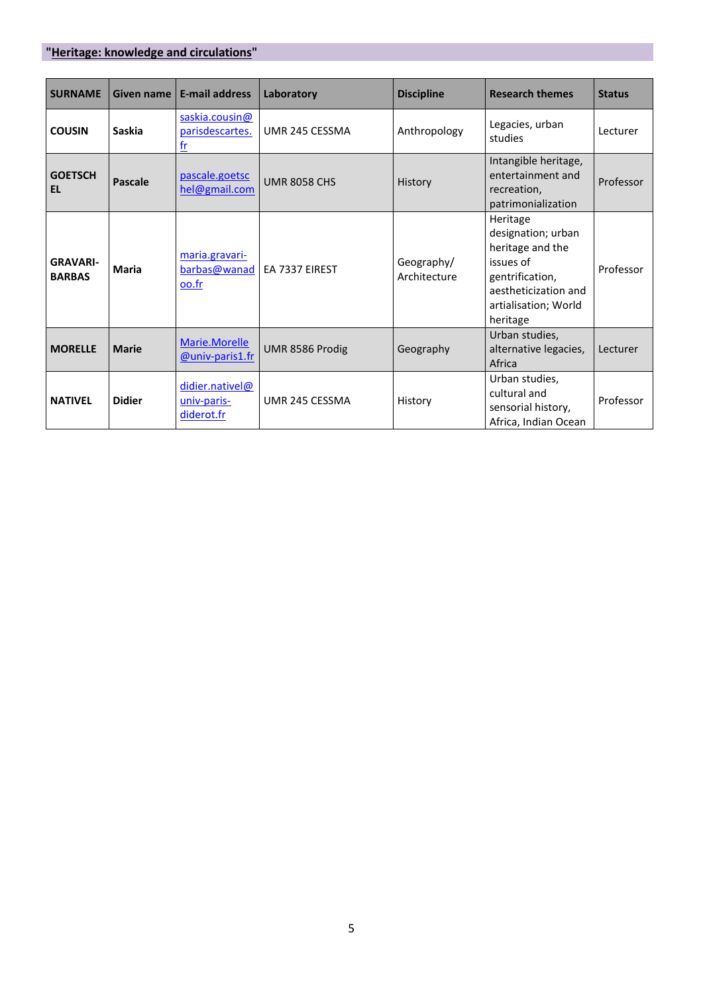### **"Heritage: knowledge and circulations"**

| <b>SURNAME</b>                   | <b>Given name</b> | <b>E-mail address</b>                              | Laboratory          | <b>Discipline</b>          | <b>Research themes</b>                                                                                                                         | <b>Status</b> |
|----------------------------------|-------------------|----------------------------------------------------|---------------------|----------------------------|------------------------------------------------------------------------------------------------------------------------------------------------|---------------|
| <b>COUSIN</b>                    | <b>Saskia</b>     | saskia.cousin@<br>parisdescartes.<br>$\mathsf{fr}$ | UMR 245 CESSMA      | Anthropology               | Legacies, urban<br>studies                                                                                                                     | Lecturer      |
| <b>GOETSCH</b><br><b>EL</b>      | <b>Pascale</b>    | pascale.goetsc<br>hel@gmail.com                    | <b>UMR 8058 CHS</b> | History                    | Intangible heritage,<br>entertainment and<br>recreation,<br>patrimonialization                                                                 | Professor     |
| <b>GRAVARI-</b><br><b>BARBAS</b> | <b>Maria</b>      | maria.gravari-<br>barbas@wanad<br>oo.fr            | EA 7337 EIREST      | Geography/<br>Architecture | Heritage<br>designation; urban<br>heritage and the<br>issues of<br>gentrification,<br>aestheticization and<br>artialisation; World<br>heritage | Professor     |
| <b>MORELLE</b>                   | <b>Marie</b>      | Marie.Morelle<br><b>@univ-paris1.fr</b>            | UMR 8586 Prodig     | Geography                  | Urban studies,<br>alternative legacies,<br>Africa                                                                                              | Lecturer      |
| <b>NATIVEL</b>                   | <b>Didier</b>     | didier.nativel@<br>univ-paris-<br>diderot.fr       | UMR 245 CESSMA      | History                    | Urban studies,<br>cultural and<br>sensorial history,<br>Africa, Indian Ocean                                                                   | Professor     |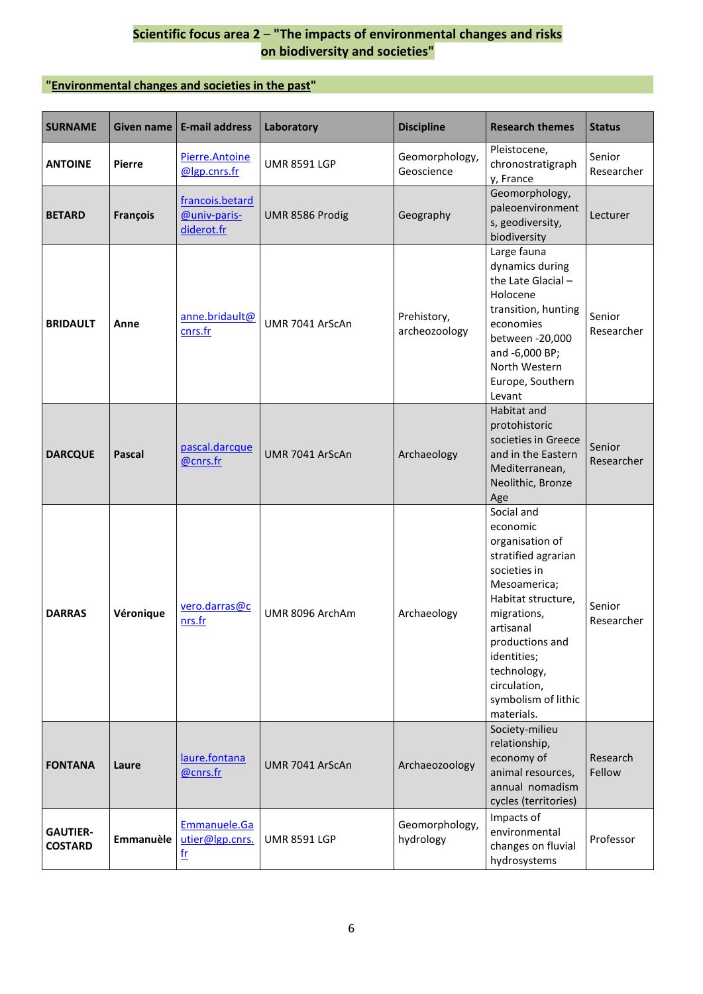#### **Scientific focus area 2** – **"The impacts of environmental changes and risks on biodiversity and societies"**

#### **"Environmental changes and societies in the past"**

| <b>SURNAME</b>                    | Given name    | <b>E-mail address</b>                         | Laboratory          | <b>Discipline</b>            | <b>Research themes</b>                                                                                                                                                                                                                                   | <b>Status</b>        |
|-----------------------------------|---------------|-----------------------------------------------|---------------------|------------------------------|----------------------------------------------------------------------------------------------------------------------------------------------------------------------------------------------------------------------------------------------------------|----------------------|
| <b>ANTOINE</b>                    | <b>Pierre</b> | Pierre.Antoine<br>@lgp.cnrs.fr                | <b>UMR 8591 LGP</b> | Geomorphology,<br>Geoscience | Pleistocene,<br>chronostratigraph<br>y, France                                                                                                                                                                                                           | Senior<br>Researcher |
| <b>BETARD</b>                     | François      | francois.betard<br>@univ-paris-<br>diderot.fr | UMR 8586 Prodig     | Geography                    | Geomorphology,<br>paleoenvironment<br>s, geodiversity,<br>biodiversity                                                                                                                                                                                   | Lecturer             |
| <b>BRIDAULT</b>                   | Anne          | anne.bridault@<br>cnrs.fr                     | UMR 7041 ArScAn     | Prehistory,<br>archeozoology | Large fauna<br>dynamics during<br>the Late Glacial -<br>Holocene<br>transition, hunting<br>economies<br>between -20,000<br>and -6,000 BP;<br>North Western<br>Europe, Southern<br>Levant                                                                 | Senior<br>Researcher |
| <b>DARCQUE</b>                    | <b>Pascal</b> | pascal.darcque<br>@cnrs.fr                    | UMR 7041 ArScAn     | Archaeology                  | Habitat and<br>protohistoric<br>societies in Greece<br>and in the Eastern<br>Mediterranean,<br>Neolithic, Bronze<br>Age                                                                                                                                  | Senior<br>Researcher |
| <b>DARRAS</b>                     | Véronique     | vero.darras@c<br>nrs.fr                       | UMR 8096 ArchAm     | Archaeology                  | Social and<br>economic<br>organisation of<br>stratified agrarian<br>societies in<br>Mesoamerica;<br>Habitat structure,<br>migrations,<br>artisanal<br>productions and<br>identities;<br>technology,<br>circulation,<br>symbolism of lithic<br>materials. | Senior<br>Researcher |
| <b>FONTANA</b>                    | Laure         | laure.fontana<br>@cnrs.fr                     | UMR 7041 ArScAn     | Archaeozoology               | Society-milieu<br>relationship,<br>economy of<br>animal resources,<br>annual nomadism<br>cycles (territories)                                                                                                                                            | Research<br>Fellow   |
| <b>GAUTIER-</b><br><b>COSTARD</b> | Emmanuèle     | Emmanuele.Ga<br>utier@lgp.cnrs.<br>$fr$       | <b>UMR 8591 LGP</b> | Geomorphology,<br>hydrology  | Impacts of<br>environmental<br>changes on fluvial<br>hydrosystems                                                                                                                                                                                        | Professor            |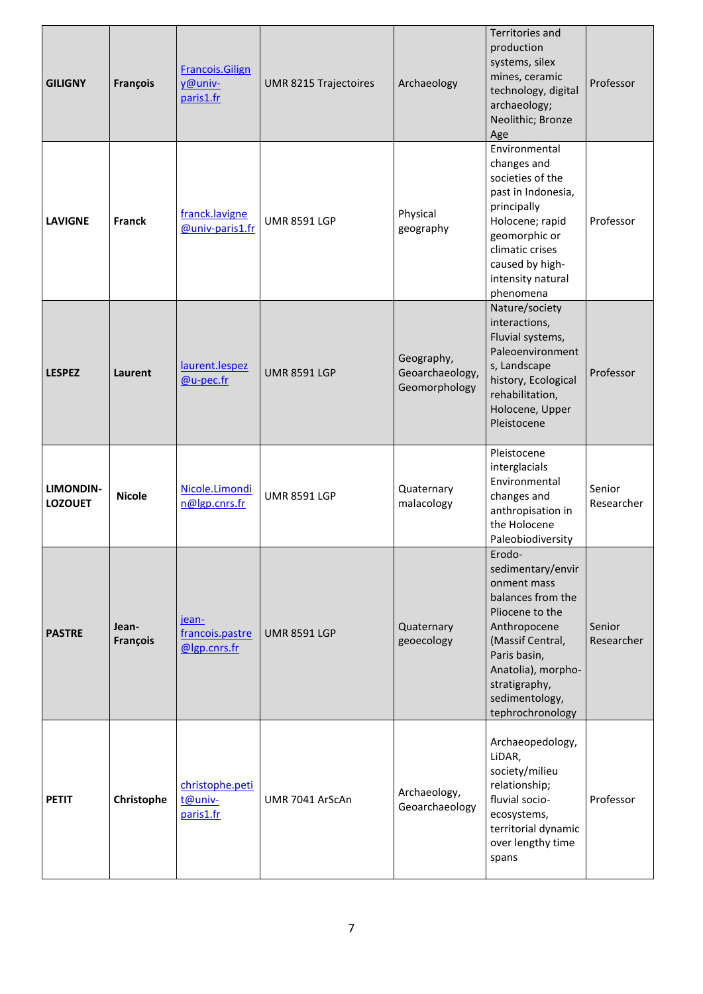| <b>GILIGNY</b>                     | <b>François</b>   | <b>Francois.Gilign</b><br>y@univ-<br>paris1.fr | UMR 8215 Trajectoires | Archaeology                                    | <b>Territories and</b><br>production<br>systems, silex<br>mines, ceramic<br>technology, digital<br>archaeology;<br>Neolithic; Bronze<br>Age                                                                         | Professor            |
|------------------------------------|-------------------|------------------------------------------------|-----------------------|------------------------------------------------|---------------------------------------------------------------------------------------------------------------------------------------------------------------------------------------------------------------------|----------------------|
| <b>LAVIGNE</b>                     | <b>Franck</b>     | franck.lavigne<br>@univ-paris1.fr              | <b>UMR 8591 LGP</b>   | Physical<br>geography                          | Environmental<br>changes and<br>societies of the<br>past in Indonesia,<br>principally<br>Holocene; rapid<br>geomorphic or<br>climatic crises<br>caused by high-<br>intensity natural<br>phenomena                   | Professor            |
| <b>LESPEZ</b>                      | Laurent           | laurent.lespez<br><u>@u-pec.fr</u>             | <b>UMR 8591 LGP</b>   | Geography,<br>Geoarchaeology,<br>Geomorphology | Nature/society<br>interactions,<br>Fluvial systems,<br>Paleoenvironment<br>s, Landscape<br>history, Ecological<br>rehabilitation,<br>Holocene, Upper<br>Pleistocene                                                 | Professor            |
| <b>LIMONDIN-</b><br><b>LOZOUET</b> | <b>Nicole</b>     | Nicole.Limondi<br>n@lgp.cnrs.fr                | <b>UMR 8591 LGP</b>   | Quaternary<br>malacology                       | Pleistocene<br>interglacials<br>Environmental<br>changes and<br>anthropisation in<br>the Holocene<br>Paleobiodiversity                                                                                              | Senior<br>Researcher |
| <b>PASTRE</b>                      | Jean-<br>François | jean-<br>francois.pastre<br>@lgp.cnrs.fr       | <b>UMR 8591 LGP</b>   | Quaternary<br>geoecology                       | Erodo-<br>sedimentary/envir<br>onment mass<br>balances from the<br>Pliocene to the<br>Anthropocene<br>(Massif Central,<br>Paris basin,<br>Anatolia), morpho-<br>stratigraphy,<br>sedimentology,<br>tephrochronology | Senior<br>Researcher |
| <b>PETIT</b>                       | Christophe        | christophe.peti<br>t@univ-<br>paris1.fr        | UMR 7041 ArScAn       | Archaeology,<br>Geoarchaeology                 | Archaeopedology,<br>LiDAR,<br>society/milieu<br>relationship;<br>fluvial socio-<br>ecosystems,<br>territorial dynamic<br>over lengthy time<br>spans                                                                 | Professor            |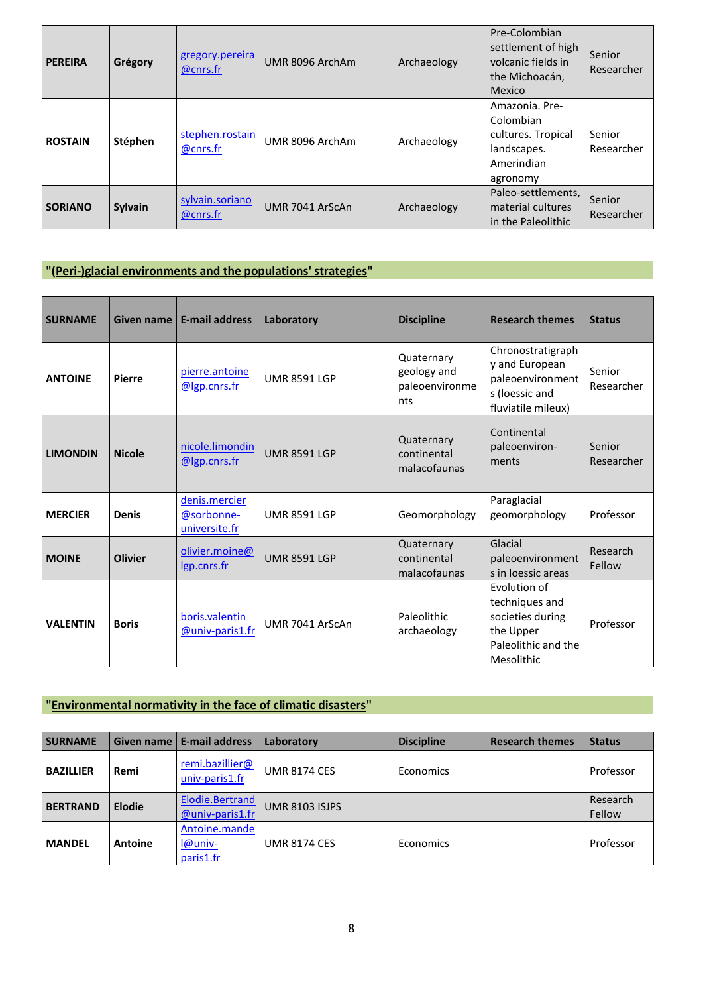| <b>PEREIRA</b> | Grégory        | gregory.pereira<br>@cnrs.fr | UMR 8096 ArchAm | Archaeology | Pre-Colombian<br>settlement of high<br>volcanic fields in<br>the Michoacán,<br>Mexico      | Senior<br>Researcher        |
|----------------|----------------|-----------------------------|-----------------|-------------|--------------------------------------------------------------------------------------------|-----------------------------|
| <b>ROSTAIN</b> | Stéphen        | stephen.rostain<br>@cnrs.fr | UMR 8096 ArchAm | Archaeology | Amazonia, Pre-<br>Colombian<br>cultures. Tropical<br>landscapes.<br>Amerindian<br>agronomy | Senior<br>Researcher        |
| <b>SORIANO</b> | <b>Sylvain</b> | sylvain.soriano<br>@cnrs.fr | UMR 7041 ArScAn | Archaeology | Paleo-settlements,<br>material cultures<br>in the Paleolithic                              | <b>Senior</b><br>Researcher |

### **"(Peri-)glacial environments and the populations' strategies"**

| <b>SURNAME</b>  | Given name     | <b>E-mail address</b>                        | Laboratory          | <b>Discipline</b>                                  | <b>Research themes</b>                                                                               | <b>Status</b>        |
|-----------------|----------------|----------------------------------------------|---------------------|----------------------------------------------------|------------------------------------------------------------------------------------------------------|----------------------|
| <b>ANTOINE</b>  | <b>Pierre</b>  | pierre.antoine<br>@lgp.cnrs.fr               | <b>UMR 8591 LGP</b> | Quaternary<br>geology and<br>paleoenvironme<br>nts | Chronostratigraph<br>y and European<br>paleoenvironment<br>s (loessic and<br>fluviatile mileux)      | Senior<br>Researcher |
| <b>LIMONDIN</b> | <b>Nicole</b>  | nicole.limondin<br>@lgp.cnrs.fr              | <b>UMR 8591 LGP</b> | Quaternary<br>continental<br>malacofaunas          | Continental<br>paleoenviron-<br>ments                                                                | Senior<br>Researcher |
| <b>MERCIER</b>  | <b>Denis</b>   | denis.mercier<br>@sorbonne-<br>universite.fr | <b>UMR 8591 LGP</b> | Geomorphology                                      | Paraglacial<br>geomorphology                                                                         | Professor            |
| <b>MOINE</b>    | <b>Olivier</b> | olivier.moine@<br>lgp.cnrs.fr                | <b>UMR 8591 LGP</b> | Quaternary<br>continental<br>malacofaunas          | Glacial<br>paleoenvironment<br>s in loessic areas                                                    | Research<br>Fellow   |
| <b>VALENTIN</b> | <b>Boris</b>   | boris.valentin<br>@univ-paris1.fr            | UMR 7041 ArScAn     | Paleolithic<br>archaeology                         | Evolution of<br>techniques and<br>societies during<br>the Upper<br>Paleolithic and the<br>Mesolithic | Professor            |

#### **"Environmental normativity in the face of climatic disasters"**

| <b>SURNAME</b>   | <b>Given name</b> | l E-mail address                             | Laboratory            | <b>Discipline</b> | <b>Research themes</b> | <b>Status</b>      |
|------------------|-------------------|----------------------------------------------|-----------------------|-------------------|------------------------|--------------------|
| <b>BAZILLIER</b> | Remi              | remi.bazillier@<br>univ-paris1.fr            | <b>UMR 8174 CES</b>   | Economics         |                        | Professor          |
| <b>BERTRAND</b>  | <b>Elodie</b>     | <b>Elodie.Bertrand</b><br>$@$ univ-paris1.fr | <b>UMR 8103 ISJPS</b> |                   |                        | Research<br>Fellow |
| <b>MANDEL</b>    | Antoine           | Antoine.mande<br>l@univ-<br>paris1.fr        | <b>UMR 8174 CES</b>   | Economics         |                        | Professor          |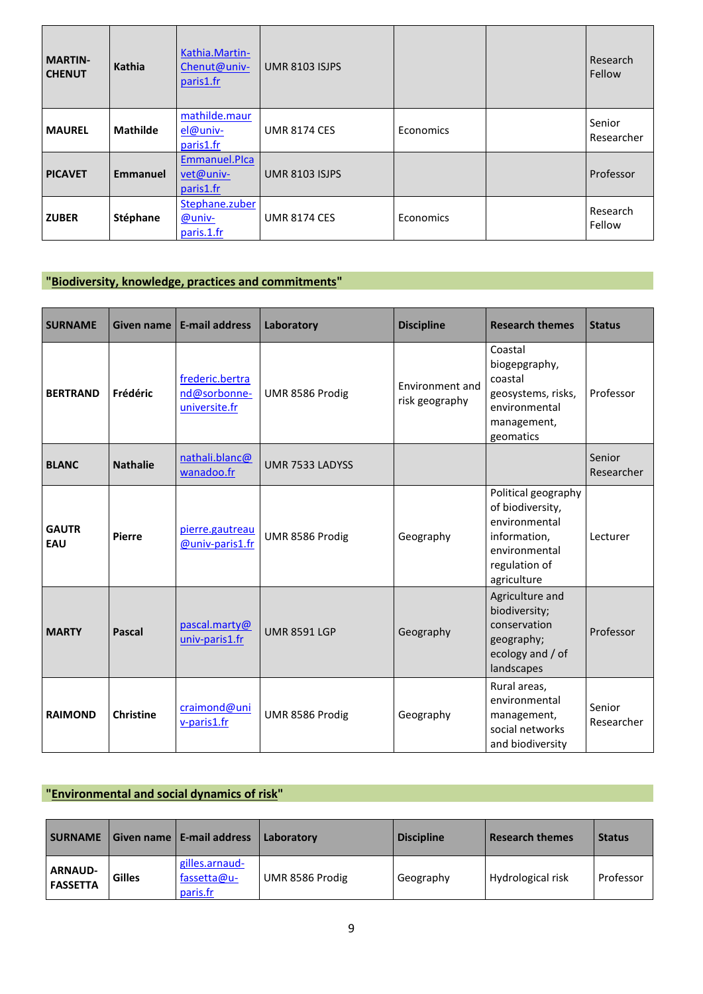| <b>MARTIN-</b><br><b>CHENUT</b> | Kathia          | Kathia.Martin-<br>Chenut@univ-<br>paris1.fr | <b>UMR 8103 ISJPS</b> |           | Research<br>Fellow   |
|---------------------------------|-----------------|---------------------------------------------|-----------------------|-----------|----------------------|
| <b>MAUREL</b>                   | <b>Mathilde</b> | mathilde.maur<br>$el@univ-$<br>paris1.fr    | <b>UMR 8174 CES</b>   | Economics | Senior<br>Researcher |
| <b>PICAVET</b>                  | <b>Emmanuel</b> | Emmanuel.Plca<br>vet@univ-<br>paris1.fr     | <b>UMR 8103 ISJPS</b> |           | Professor            |
| <b>ZUBER</b>                    | Stéphane        | Stephane.zuber<br>@univ-<br>paris.1.fr      | <b>UMR 8174 CES</b>   | Economics | Research<br>Fellow   |

## **"Biodiversity, knowledge, practices and commitments"**

| <b>SURNAME</b>      | <b>Given name</b> | <b>E-mail address</b>                            | Laboratory          | <b>Discipline</b>                 | <b>Research themes</b>                                                                                                    | <b>Status</b>        |
|---------------------|-------------------|--------------------------------------------------|---------------------|-----------------------------------|---------------------------------------------------------------------------------------------------------------------------|----------------------|
| <b>BERTRAND</b>     | Frédéric          | frederic.bertra<br>nd@sorbonne-<br>universite.fr | UMR 8586 Prodig     | Environment and<br>risk geography | Coastal<br>biogepgraphy,<br>coastal<br>geosystems, risks,<br>environmental<br>management,<br>geomatics                    | Professor            |
| <b>BLANC</b>        | <b>Nathalie</b>   | nathali.blanc@<br>wanadoo.fr                     | UMR 7533 LADYSS     |                                   |                                                                                                                           | Senior<br>Researcher |
| <b>GAUTR</b><br>EAU | <b>Pierre</b>     | pierre.gautreau<br>@univ-paris1.fr               | UMR 8586 Prodig     | Geography                         | Political geography<br>of biodiversity,<br>environmental<br>information,<br>environmental<br>regulation of<br>agriculture | Lecturer             |
| <b>MARTY</b>        | <b>Pascal</b>     | pascal.marty@<br>univ-paris1.fr                  | <b>UMR 8591 LGP</b> | Geography                         | Agriculture and<br>biodiversity;<br>conservation<br>geography;<br>ecology and / of<br>landscapes                          | Professor            |
| <b>RAIMOND</b>      | <b>Christine</b>  | craimond@uni<br>v-paris1.fr                      | UMR 8586 Prodig     | Geography                         | Rural areas,<br>environmental<br>management,<br>social networks<br>and biodiversity                                       | Senior<br>Researcher |

## **"Environmental and social dynamics of risk"**

| <b>SURNAME</b>                    |               | Given name   E-mail address               | Laboratory      | <b>Discipline</b> | <b>Research themes</b> | <b>Status</b> |
|-----------------------------------|---------------|-------------------------------------------|-----------------|-------------------|------------------------|---------------|
| <b>ARNAUD-</b><br><b>FASSETTA</b> | <b>Gilles</b> | gilles.arnaud-<br>fassetta@u-<br>paris.fr | UMR 8586 Prodig | Geography         | Hydrological risk      | Professor     |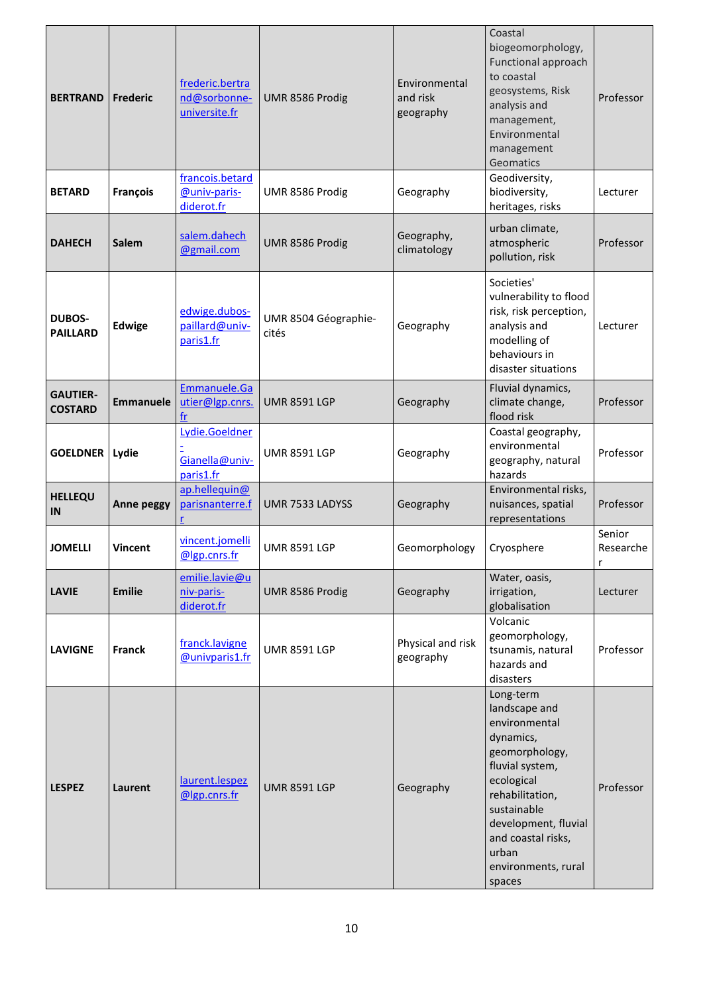| <b>BERTRAND</b>                   | Frederic         | frederic.bertra<br>nd@sorbonne-<br>universite.fr<br>francois.betard | UMR 8586 Prodig               | Environmental<br>and risk<br>geography | Coastal<br>biogeomorphology,<br>Functional approach<br>to coastal<br>geosystems, Risk<br>analysis and<br>management,<br>Environmental<br>management<br>Geomatics<br>Geodiversity,                                                     | Professor                |
|-----------------------------------|------------------|---------------------------------------------------------------------|-------------------------------|----------------------------------------|---------------------------------------------------------------------------------------------------------------------------------------------------------------------------------------------------------------------------------------|--------------------------|
| <b>BETARD</b>                     | François         | @univ-paris-<br>diderot.fr                                          | UMR 8586 Prodig               | Geography                              | biodiversity,<br>heritages, risks                                                                                                                                                                                                     | Lecturer                 |
| <b>DAHECH</b>                     | <b>Salem</b>     | salem.dahech<br>@gmail.com                                          | UMR 8586 Prodig               | Geography,<br>climatology              | urban climate,<br>atmospheric<br>pollution, risk                                                                                                                                                                                      | Professor                |
| <b>DUBOS-</b><br><b>PAILLARD</b>  | <b>Edwige</b>    | edwige.dubos-<br>paillard@univ-<br>paris1.fr                        | UMR 8504 Géographie-<br>cités | Geography                              | Societies'<br>vulnerability to flood<br>risk, risk perception,<br>analysis and<br>modelling of<br>behaviours in<br>disaster situations                                                                                                | Lecturer                 |
| <b>GAUTIER-</b><br><b>COSTARD</b> | <b>Emmanuele</b> | Emmanuele.Ga<br>utier@lgp.cnrs.<br>fr                               | <b>UMR 8591 LGP</b>           | Geography                              | Fluvial dynamics,<br>climate change,<br>flood risk                                                                                                                                                                                    | Professor                |
| <b>GOELDNER</b>                   | Lydie            | Lydie.Goeldner<br>Gianella@univ-<br>paris1.fr                       | <b>UMR 8591 LGP</b>           | Geography                              | Coastal geography,<br>environmental<br>geography, natural<br>hazards                                                                                                                                                                  | Professor                |
| <b>HELLEQU</b><br>IN              | Anne peggy       | ap.hellequin@<br>parisnanterre.f                                    | UMR 7533 LADYSS               | Geography                              | Environmental risks,<br>nuisances, spatial<br>representations                                                                                                                                                                         | Professor                |
| <b>JOMELLI</b>                    | <b>Vincent</b>   | vincent.jomelli<br>@lgp.cnrs.fr                                     | <b>UMR 8591 LGP</b>           | Geomorphology                          | Cryosphere                                                                                                                                                                                                                            | Senior<br>Researche<br>r |
| <b>LAVIE</b>                      | <b>Emilie</b>    | emilie.lavie@u<br>niv-paris-<br>diderot.fr                          | UMR 8586 Prodig               | Geography                              | Water, oasis,<br>irrigation,<br>globalisation                                                                                                                                                                                         | Lecturer                 |
| <b>LAVIGNE</b>                    | <b>Franck</b>    | franck.lavigne<br><b>@univparis1.fr</b>                             | <b>UMR 8591 LGP</b>           | Physical and risk<br>geography         | Volcanic<br>geomorphology,<br>tsunamis, natural<br>hazards and<br>disasters                                                                                                                                                           | Professor                |
| <b>LESPEZ</b>                     | Laurent          | laurent.lespez<br>@lgp.cnrs.fr                                      | <b>UMR 8591 LGP</b>           | Geography                              | Long-term<br>landscape and<br>environmental<br>dynamics,<br>geomorphology,<br>fluvial system,<br>ecological<br>rehabilitation,<br>sustainable<br>development, fluvial<br>and coastal risks,<br>urban<br>environments, rural<br>spaces | Professor                |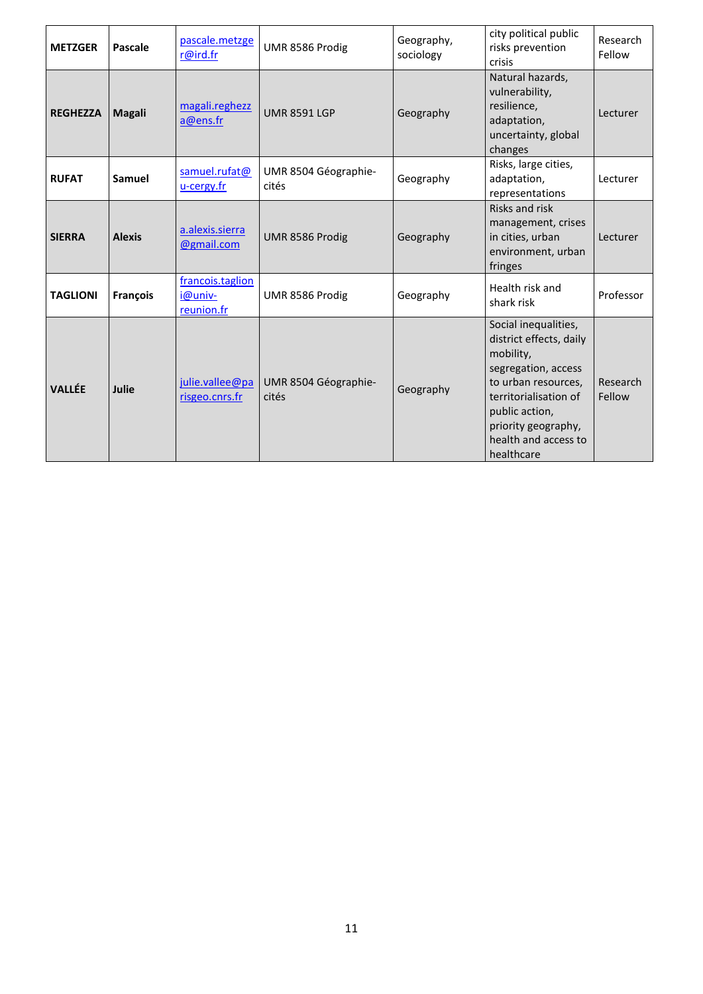| <b>METZGER</b>  | Pascale       | pascale.metzge<br>r@ird.fr                | UMR 8586 Prodig               | Geography,<br>sociology | city political public<br>risks prevention<br>crisis                                                                                                                                                                | Research<br>Fellow |
|-----------------|---------------|-------------------------------------------|-------------------------------|-------------------------|--------------------------------------------------------------------------------------------------------------------------------------------------------------------------------------------------------------------|--------------------|
| <b>REGHEZZA</b> | <b>Magali</b> | magali.reghezz<br>a@ens.fr                | <b>UMR 8591 LGP</b>           | Geography               | Natural hazards,<br>vulnerability,<br>resilience,<br>adaptation,<br>uncertainty, global<br>changes                                                                                                                 | Lecturer           |
| <b>RUFAT</b>    | Samuel        | samuel.rufat@<br>u-cergy.fr               | UMR 8504 Géographie-<br>cités | Geography               | Risks, large cities,<br>adaptation,<br>representations                                                                                                                                                             | Lecturer           |
| <b>SIERRA</b>   | <b>Alexis</b> | a.alexis.sierra<br>@gmail.com             | UMR 8586 Prodig               | Geography               | <b>Risks and risk</b><br>management, crises<br>in cities, urban<br>environment, urban<br>fringes                                                                                                                   | Lecturer           |
| <b>TAGLIONI</b> | François      | francois.taglion<br>i@univ-<br>reunion.fr | UMR 8586 Prodig               | Geography               | Health risk and<br>shark risk                                                                                                                                                                                      | Professor          |
| <b>VALLÉE</b>   | Julie         | julie.vallee@pa<br>risgeo.cnrs.fr         | UMR 8504 Géographie-<br>cités | Geography               | Social inequalities,<br>district effects, daily<br>mobility,<br>segregation, access<br>to urban resources,<br>territorialisation of<br>public action,<br>priority geography,<br>health and access to<br>healthcare | Research<br>Fellow |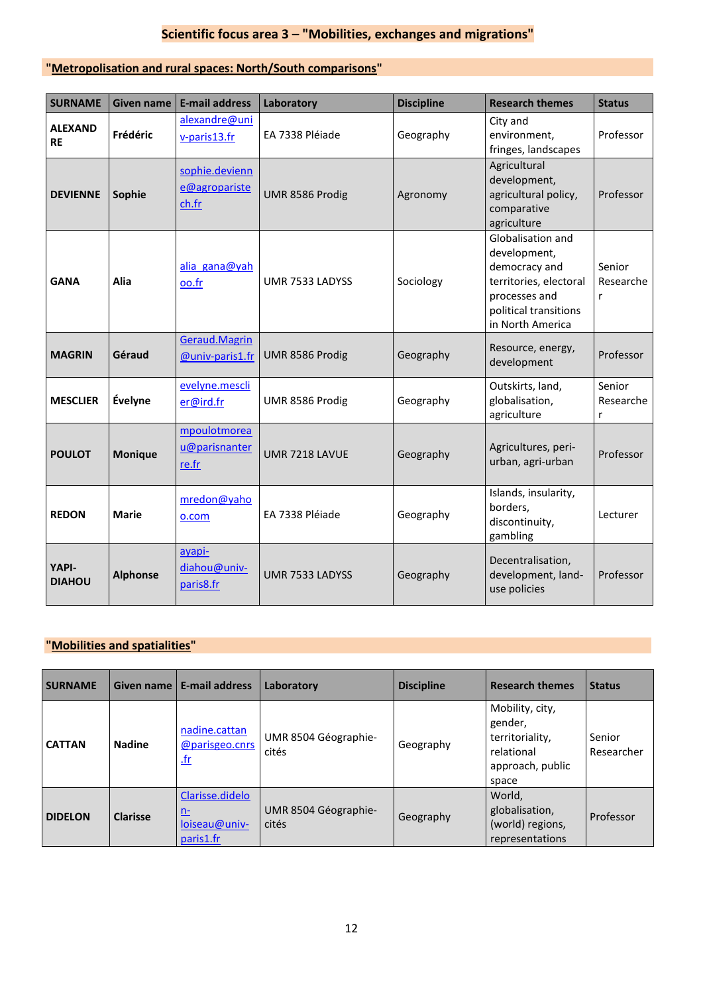# **Scientific focus area 3 – "Mobilities, exchanges and migrations"**

### **"Metropolisation and rural spaces: North/South comparisons"**

| <b>SURNAME</b>                | <b>Given name</b> | <b>E-mail address</b>                    | Laboratory      | <b>Discipline</b> | <b>Research themes</b>                                                                                                                     | <b>Status</b>            |
|-------------------------------|-------------------|------------------------------------------|-----------------|-------------------|--------------------------------------------------------------------------------------------------------------------------------------------|--------------------------|
| <b>ALEXAND</b><br><b>RE</b>   | Frédéric          | alexandre@uni<br>v-paris13.fr            | EA 7338 Pléjade | Geography         | City and<br>environment,<br>fringes, landscapes                                                                                            | Professor                |
| <b>DEVIENNE</b>               | Sophie            | sophie.devienn<br>e@agropariste<br>ch.fr | UMR 8586 Prodig | Agronomy          | Agricultural<br>development,<br>agricultural policy,<br>comparative<br>agriculture                                                         | Professor                |
| <b>GANA</b>                   | Alia              | alia gana@yah<br>oo.fr                   | UMR 7533 LADYSS | Sociology         | Globalisation and<br>development,<br>democracy and<br>territories, electoral<br>processes and<br>political transitions<br>in North America | Senior<br>Researche<br>r |
| <b>MAGRIN</b>                 | Géraud            | Geraud.Magrin<br>@univ-paris1.fr         | UMR 8586 Prodig | Geography         | Resource, energy,<br>development                                                                                                           | Professor                |
| <b>MESCLIER</b>               | Évelyne           | evelyne.mescli<br>er@ird.fr              | UMR 8586 Prodig | Geography         | Outskirts, land,<br>globalisation,<br>agriculture                                                                                          | Senior<br>Researche<br>r |
| <b>POULOT</b>                 | <b>Monique</b>    | mpoulotmorea<br>u@parisnanter<br>re.fr   | UMR 7218 LAVUE  | Geography         | Agricultures, peri-<br>urban, agri-urban                                                                                                   | Professor                |
| <b>REDON</b>                  | <b>Marie</b>      | mredon@yaho<br>o.com                     | EA 7338 Pléiade | Geography         | Islands, insularity,<br>borders,<br>discontinuity,<br>gambling                                                                             | Lecturer                 |
| <b>YAPI-</b><br><b>DIAHOU</b> | <b>Alphonse</b>   | ayapi-<br>diahou@univ-<br>paris8.fr      | UMR 7533 LADYSS | Geography         | Decentralisation,<br>development, land-<br>use policies                                                                                    | Professor                |

### **"Mobilities and spatialities"**

| <b>SURNAME</b> | Given name      | <b>E-mail address</b>                                      | Laboratory                    | <b>Discipline</b> | <b>Research themes</b>                                                                   | <b>Status</b>        |
|----------------|-----------------|------------------------------------------------------------|-------------------------------|-------------------|------------------------------------------------------------------------------------------|----------------------|
| <b>CATTAN</b>  | <b>Nadine</b>   | nadine.cattan<br>@parisgeo.cnrs<br><u>.fr</u>              | UMR 8504 Géographie-<br>cités | Geography         | Mobility, city,<br>gender,<br>territoriality,<br>relational<br>approach, public<br>space | Senior<br>Researcher |
| <b>DIDELON</b> | <b>Clarisse</b> | Clarisse.didelo<br><u>n-</u><br>loiseau@univ-<br>paris1.fr | UMR 8504 Géographie-<br>cités | Geography         | World,<br>globalisation,<br>(world) regions,<br>representations                          | <b>Professor</b>     |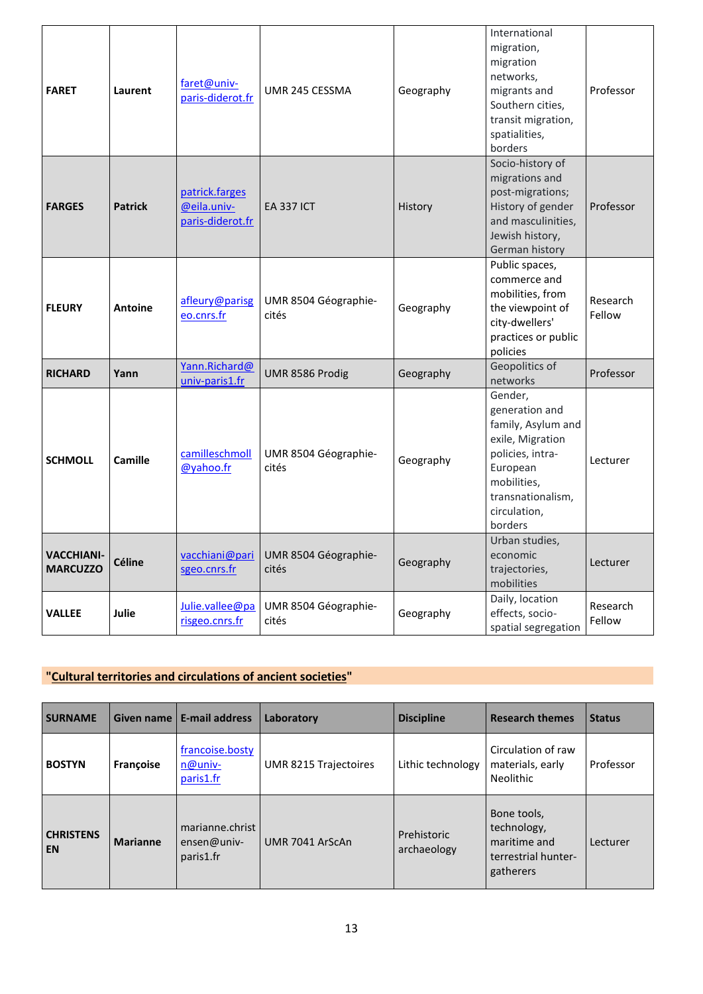| <b>FARET</b>                         | Laurent        | faret@univ-<br>paris-diderot.fr                   | UMR 245 CESSMA                | Geography | International<br>migration,<br>migration<br>networks,<br>migrants and<br>Southern cities,<br>transit migration,<br>spatialities,<br>borders                        | Professor          |
|--------------------------------------|----------------|---------------------------------------------------|-------------------------------|-----------|--------------------------------------------------------------------------------------------------------------------------------------------------------------------|--------------------|
| <b>FARGES</b>                        | <b>Patrick</b> | patrick.farges<br>@eila.univ-<br>paris-diderot.fr | <b>EA 337 ICT</b>             | History   | Socio-history of<br>migrations and<br>post-migrations;<br>History of gender<br>and masculinities,<br>Jewish history,<br>German history                             | Professor          |
| <b>FLEURY</b>                        | Antoine        | afleury@parisg<br>eo.cnrs.fr                      | UMR 8504 Géographie-<br>cités | Geography | Public spaces,<br>commerce and<br>mobilities, from<br>the viewpoint of<br>city-dwellers'<br>practices or public<br>policies                                        | Research<br>Fellow |
| <b>RICHARD</b>                       | Yann           | Yann.Richard@<br>univ-paris1.fr                   | UMR 8586 Prodig               | Geography | Geopolitics of<br>networks                                                                                                                                         | Professor          |
| <b>SCHMOLL</b>                       | Camille        | camilleschmoll<br>@yahoo.fr                       | UMR 8504 Géographie-<br>cités | Geography | Gender,<br>generation and<br>family, Asylum and<br>exile, Migration<br>policies, intra-<br>European<br>mobilities,<br>transnationalism,<br>circulation,<br>borders | Lecturer           |
| <b>VACCHIANI-</b><br><b>MARCUZZO</b> | <b>Céline</b>  | vacchiani@pari<br>sgeo.cnrs.fr                    | UMR 8504 Géographie-<br>cités | Geography | Urban studies,<br>economic<br>trajectories,<br>mobilities                                                                                                          | Lecturer           |
| <b>VALLEE</b>                        | Julie          | Julie.vallee@pa<br>risgeo.cnrs.fr                 | UMR 8504 Géographie-<br>cités | Geography | Daily, location<br>effects, socio-<br>spatial segregation                                                                                                          | Research<br>Fellow |

### **"Cultural territories and circulations of ancient societies"**

| <b>SURNAME</b>                |                 | Given name   E-mail address                 | Laboratory            | <b>Discipline</b>          | <b>Research themes</b>                                                         | <b>Status</b> |
|-------------------------------|-----------------|---------------------------------------------|-----------------------|----------------------------|--------------------------------------------------------------------------------|---------------|
| <b>BOSTYN</b>                 | Françoise       | francoise.bosty<br>n@univ-<br>paris1.fr     | UMR 8215 Trajectoires | Lithic technology          | Circulation of raw<br>materials, early<br><b>Neolithic</b>                     | Professor     |
| <b>CHRISTENS</b><br><b>EN</b> | <b>Marianne</b> | marianne.christ<br>ensen@univ-<br>paris1.fr | UMR 7041 ArScAn       | Prehistoric<br>archaeology | Bone tools,<br>technology,<br>maritime and<br>terrestrial hunter-<br>gatherers | Lecturer      |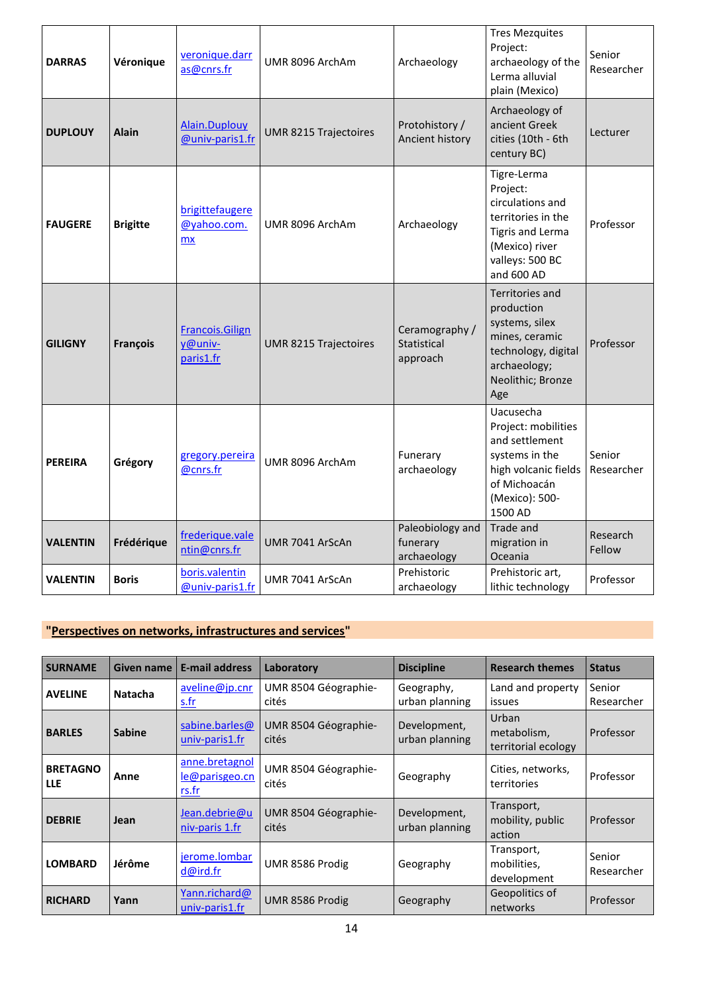| <b>DARRAS</b>   | Véronique       | veronique.darr<br>as@cnrs.fr                   | UMR 8096 ArchAm              | Archaeology                                 | <b>Tres Mezquites</b><br>Project:<br>archaeology of the<br>Lerma alluvial<br>plain (Mexico)                                                     | Senior<br>Researcher |
|-----------------|-----------------|------------------------------------------------|------------------------------|---------------------------------------------|-------------------------------------------------------------------------------------------------------------------------------------------------|----------------------|
| <b>DUPLOUY</b>  | <b>Alain</b>    | Alain.Duplouy<br>@univ-paris1.fr               | UMR 8215 Trajectoires        | Protohistory /<br>Ancient history           | Archaeology of<br>ancient Greek<br>cities (10th - 6th<br>century BC)                                                                            | Lecturer             |
| <b>FAUGERE</b>  | <b>Brigitte</b> | brigittefaugere<br>@yahoo.com.<br><b>mx</b>    | UMR 8096 ArchAm              | Archaeology                                 | Tigre-Lerma<br>Project:<br>circulations and<br>territories in the<br><b>Tigris and Lerma</b><br>(Mexico) river<br>valleys: 500 BC<br>and 600 AD | Professor            |
| <b>GILIGNY</b>  | <b>François</b> | <b>Francois.Gilign</b><br>y@univ-<br>paris1.fr | <b>UMR 8215 Trajectoires</b> | Ceramography /<br>Statistical<br>approach   | <b>Territories and</b><br>production<br>systems, silex<br>mines, ceramic<br>technology, digital<br>archaeology;<br>Neolithic; Bronze<br>Age     | Professor            |
| <b>PEREIRA</b>  | Grégory         | gregory.pereira<br>@cnrs.fr                    | UMR 8096 ArchAm              | Funerary<br>archaeology                     | Uacusecha<br>Project: mobilities<br>and settlement<br>systems in the<br>high volcanic fields<br>of Michoacán<br>(Mexico): 500-<br>1500 AD       | Senior<br>Researcher |
| <b>VALENTIN</b> | Frédérique      | frederique.vale<br>ntin@cnrs.fr                | UMR 7041 ArScAn              | Paleobiology and<br>funerary<br>archaeology | Trade and<br>migration in<br>Oceania                                                                                                            | Research<br>Fellow   |
| VALENTIN        | <b>Boris</b>    | boris.valentin<br>@univ-paris1.fr              | UMR 7041 ArScAn              | Prehistoric<br>archaeology                  | Prehistoric art,<br>lithic technology                                                                                                           | Professor            |

### **"Perspectives on networks, infrastructures and services"**

| <b>SURNAME</b>                | Given name     | <b>E-mail address</b>                     | Laboratory                    | <b>Discipline</b>              | <b>Research themes</b>                      | <b>Status</b>        |
|-------------------------------|----------------|-------------------------------------------|-------------------------------|--------------------------------|---------------------------------------------|----------------------|
| <b>AVELINE</b>                | <b>Natacha</b> | aveline@jp.cnr<br><u>s.fr</u>             | UMR 8504 Géographie-<br>cités | Geography,<br>urban planning   | Land and property<br>issues                 | Senior<br>Researcher |
| <b>BARLES</b>                 | <b>Sabine</b>  | sabine.barles@<br>univ-paris1.fr          | UMR 8504 Géographie-<br>cités | Development,<br>urban planning | Urban<br>metabolism,<br>territorial ecology | Professor            |
| <b>BRETAGNO</b><br><b>LLE</b> | Anne           | anne.bretagnol<br>le@parisgeo.cn<br>rs.fr | UMR 8504 Géographie-<br>cités | Geography                      | Cities, networks,<br>territories            | Professor            |
| <b>DEBRIE</b>                 | Jean           | Jean.debrie@u<br>niv-paris 1.fr           | UMR 8504 Géographie-<br>cités | Development,<br>urban planning | Transport,<br>mobility, public<br>action    | Professor            |
| <b>LOMBARD</b>                | Jérôme         | jerome.lombar<br>d@ird.fr                 | UMR 8586 Prodig               | Geography                      | Transport,<br>mobilities,<br>development    | Senior<br>Researcher |
| <b>RICHARD</b>                | Yann           | Yann.richard@<br>univ-paris1.fr           | UMR 8586 Prodig               | Geography                      | Geopolitics of<br>networks                  | Professor            |